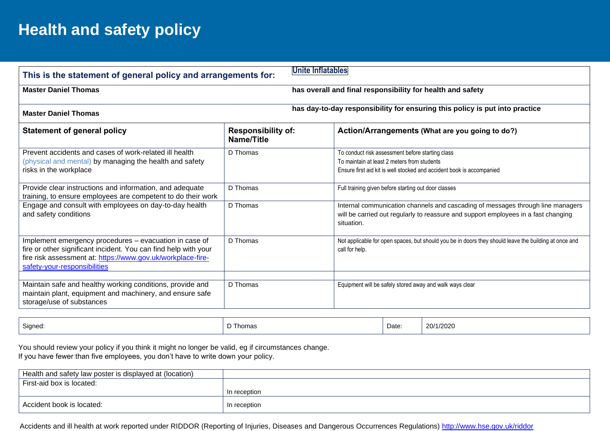# **Health and safety policy**

| Unite Inflatables<br>This is the statement of general policy and arrangements for:                                                                                                                                       |                                         |                                                                                                                                                                                     |  |  |  |
|--------------------------------------------------------------------------------------------------------------------------------------------------------------------------------------------------------------------------|-----------------------------------------|-------------------------------------------------------------------------------------------------------------------------------------------------------------------------------------|--|--|--|
| <b>Master Daniel Thomas</b>                                                                                                                                                                                              |                                         | has overall and final responsibility for health and safety                                                                                                                          |  |  |  |
| has day-to-day responsibility for ensuring this policy is put into practice<br><b>Master Daniel Thomas</b>                                                                                                               |                                         |                                                                                                                                                                                     |  |  |  |
| <b>Statement of general policy</b>                                                                                                                                                                                       | <b>Responsibility of:</b><br>Name/Title | Action/Arrangements (What are you going to do?)                                                                                                                                     |  |  |  |
| Prevent accidents and cases of work-related ill health<br>(physical and mental) by managing the health and safety<br>risks in the workplace                                                                              | D Thomas                                | To conduct risk assessment before starting class<br>To maintain at least 2 meters from students<br>Ensure first aid kit is well stocked and accident book is accompanied            |  |  |  |
| Provide clear instructions and information, and adequate<br>training, to ensure employees are competent to do their work                                                                                                 | D Thomas                                | Full training given before starting out door classes                                                                                                                                |  |  |  |
| Engage and consult with employees on day-to-day health<br>and safety conditions                                                                                                                                          | D Thomas                                | Internal communication channels and cascading of messages through line managers<br>will be carried out regularly to reassure and support employees in a fast changing<br>situation. |  |  |  |
| Implement emergency procedures - evacuation in case of<br>fire or other significant incident. You can find help with your<br>fire risk assessment at: https://www.gov.uk/workplace-fire-<br>safety-your-responsibilities | D Thomas                                | Not applicable for open spaces, but should you be in doors they should leave the building at once and<br>call for help.                                                             |  |  |  |
| Maintain safe and healthy working conditions, provide and<br>maintain plant, equipment and machinery, and ensure safe<br>storage/use of substances                                                                       | D Thomas                                | Equipment will be safely stored away and walk ways clear                                                                                                                            |  |  |  |

| Signed: | Thomas | Date: | 20/1/2020 |
|---------|--------|-------|-----------|
|---------|--------|-------|-----------|

 You should review your policy if you think it might no longer be valid, eg if circumstances change. If you have fewer than five employees, you don't have to write down your policy.

| Health and safety law poster is displayed at (location) |              |
|---------------------------------------------------------|--------------|
| First-aid box is located:                               |              |
|                                                         | In reception |
| Accident book is located:                               | In reception |

Accidents and ill health at work reported under RIDDOR (Reporting of Injuries, Diseases and Dangerous Occurrences Regulations)<http://www.hse.gov.uk/riddor>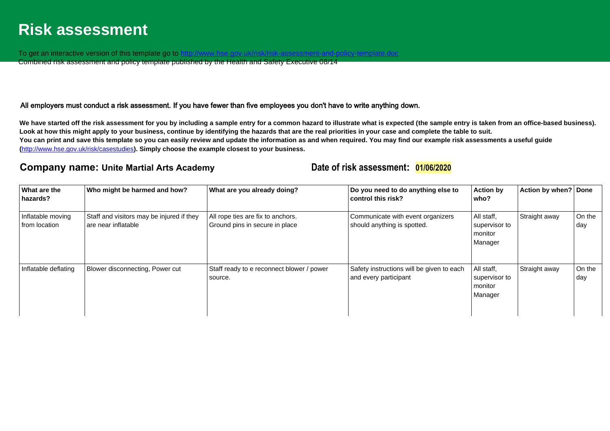## **Risk assessment**

To get an interactive version of this template go to http://www.h

Combined risk assessment and policy template published by the Health and Safety Executive 08/14

### All employers must conduct a risk assessment. If you have fewer than five employees you don't have to write anything down.

We have started off the risk assessment for you by including a sample entry for a common hazard to illustrate what is expected (the sample entry is taken from an office-based business). **Look at how this might apply to your business, continue by identifying the hazards that are the real priorities in your case and complete the table to suit. You can print and save this template so you can easily review and update the information as and when required. You may find our example risk assessments a useful guide (**<http://www.hse.gov.uk/risk/casestudies>**). Simply choose the example closest to your business.** 

### **Company name: Unite Martial Arts Academy Date of risk assessment: 01/06/2020**

| What are the<br>hazards?           | Who might be harmed and how?                                     | What are you already doing?                                         | Do you need to do anything else to<br>control this risk?           | <b>Action by</b><br>who?                          | Action by when?   Done |               |
|------------------------------------|------------------------------------------------------------------|---------------------------------------------------------------------|--------------------------------------------------------------------|---------------------------------------------------|------------------------|---------------|
| Inflatable moving<br>from location | Staff and visitors may be injured if they<br>are near inflatable | All rope ties are fix to anchors.<br>Ground pins in secure in place | Communicate with event organizers<br>should anything is spotted.   | All staff,<br>supervisor to<br>monitor<br>Manager | Straight away          | On the<br>day |
| Inflatable deflating               | Blower disconnecting, Power cut                                  | Staff ready to e reconnect blower / power<br>source.                | Safety instructions will be given to each<br>and every participant | All staff,<br>supervisor to<br>monitor<br>Manager | Straight away          | On the<br>day |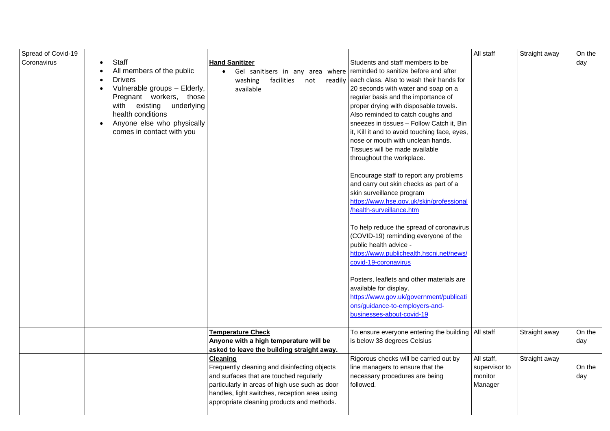| Spread of Covid-19 |                                                                                                                                                                                                                                          |                                                                                                                                                                                                                                                             |                                                                                                                                                                                                                                                                                                                                                                                                                                                                                                                                                                                                                                                                                                                                                                                                                                                                                                                                                                                                        | All staff                                         | Straight away | On the        |
|--------------------|------------------------------------------------------------------------------------------------------------------------------------------------------------------------------------------------------------------------------------------|-------------------------------------------------------------------------------------------------------------------------------------------------------------------------------------------------------------------------------------------------------------|--------------------------------------------------------------------------------------------------------------------------------------------------------------------------------------------------------------------------------------------------------------------------------------------------------------------------------------------------------------------------------------------------------------------------------------------------------------------------------------------------------------------------------------------------------------------------------------------------------------------------------------------------------------------------------------------------------------------------------------------------------------------------------------------------------------------------------------------------------------------------------------------------------------------------------------------------------------------------------------------------------|---------------------------------------------------|---------------|---------------|
| Coronavirus        | Staff<br>All members of the public<br><b>Drivers</b><br>Vulnerable groups - Elderly,<br>Pregnant workers, those<br>with existing underlying<br>health conditions<br>Anyone else who physically<br>$\bullet$<br>comes in contact with you | <b>Hand Sanitizer</b><br>Gel sanitisers in any area where reminded to sanitize before and after<br>washing<br>facilities<br>readily<br>not<br>available                                                                                                     | Students and staff members to be<br>each class. Also to wash their hands for<br>20 seconds with water and soap on a<br>regular basis and the importance of<br>proper drying with disposable towels.<br>Also reminded to catch coughs and<br>sneezes in tissues - Follow Catch it, Bin<br>it, Kill it and to avoid touching face, eyes,<br>nose or mouth with unclean hands.<br>Tissues will be made available<br>throughout the workplace.<br>Encourage staff to report any problems<br>and carry out skin checks as part of a<br>skin surveillance program<br>https://www.hse.gov.uk/skin/professional<br>/health-surveillance.htm<br>To help reduce the spread of coronavirus<br>(COVID-19) reminding everyone of the<br>public health advice -<br>https://www.publichealth.hscni.net/news/<br>covid-19-coronavirus<br>Posters, leaflets and other materials are<br>available for display.<br>https://www.gov.uk/government/publicati<br>ons/guidance-to-employers-and-<br>businesses-about-covid-19 |                                                   |               | day           |
|                    |                                                                                                                                                                                                                                          | <b>Temperature Check</b><br>Anyone with a high temperature will be<br>asked to leave the building straight away.                                                                                                                                            | To ensure everyone entering the building   All staff<br>is below 38 degrees Celsius                                                                                                                                                                                                                                                                                                                                                                                                                                                                                                                                                                                                                                                                                                                                                                                                                                                                                                                    |                                                   | Straight away | On the<br>day |
|                    |                                                                                                                                                                                                                                          | <b>Cleaning</b><br>Frequently cleaning and disinfecting objects<br>and surfaces that are touched regularly<br>particularly in areas of high use such as door<br>handles, light switches, reception area using<br>appropriate cleaning products and methods. | Rigorous checks will be carried out by<br>line managers to ensure that the<br>necessary procedures are being<br>followed.                                                                                                                                                                                                                                                                                                                                                                                                                                                                                                                                                                                                                                                                                                                                                                                                                                                                              | All staff,<br>supervisor to<br>monitor<br>Manager | Straight away | On the<br>day |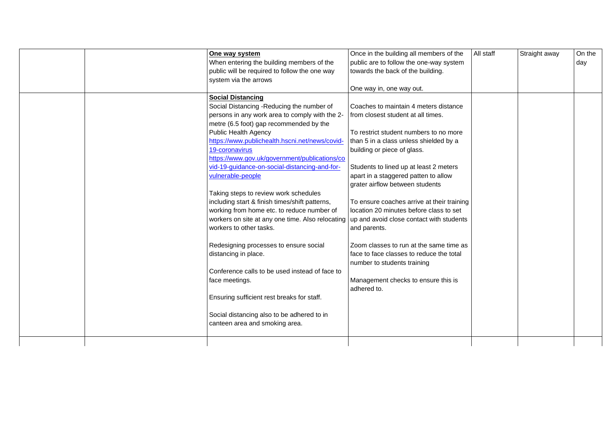|  | One way system                                   | Once in the building all members of the    | All staff | Straight away | On the |
|--|--------------------------------------------------|--------------------------------------------|-----------|---------------|--------|
|  | When entering the building members of the        | public are to follow the one-way system    |           |               | day    |
|  | public will be required to follow the one way    | towards the back of the building.          |           |               |        |
|  | system via the arrows                            |                                            |           |               |        |
|  |                                                  | One way in, one way out.                   |           |               |        |
|  | <b>Social Distancing</b>                         |                                            |           |               |        |
|  | Social Distancing -Reducing the number of        | Coaches to maintain 4 meters distance      |           |               |        |
|  |                                                  |                                            |           |               |        |
|  | persons in any work area to comply with the 2-   | from closest student at all times.         |           |               |        |
|  | metre (6.5 foot) gap recommended by the          |                                            |           |               |        |
|  | Public Health Agency                             | To restrict student numbers to no more     |           |               |        |
|  | https://www.publichealth.hscni.net/news/covid-   | than 5 in a class unless shielded by a     |           |               |        |
|  | 19-coronavirus                                   | building or piece of glass.                |           |               |        |
|  | https://www.gov.uk/government/publications/co    |                                            |           |               |        |
|  | vid-19-guidance-on-social-distancing-and-for-    | Students to lined up at least 2 meters     |           |               |        |
|  | vulnerable-people                                | apart in a staggered patten to allow       |           |               |        |
|  |                                                  | grater airflow between students            |           |               |        |
|  | Taking steps to review work schedules            |                                            |           |               |        |
|  | including start & finish times/shift patterns,   | To ensure coaches arrive at their training |           |               |        |
|  | working from home etc. to reduce number of       | location 20 minutes before class to set    |           |               |        |
|  | workers on site at any one time. Also relocating | up and avoid close contact with students   |           |               |        |
|  | workers to other tasks.                          | and parents.                               |           |               |        |
|  |                                                  |                                            |           |               |        |
|  | Redesigning processes to ensure social           | Zoom classes to run at the same time as    |           |               |        |
|  | distancing in place.                             | face to face classes to reduce the total   |           |               |        |
|  |                                                  | number to students training                |           |               |        |
|  | Conference calls to be used instead of face to   |                                            |           |               |        |
|  |                                                  |                                            |           |               |        |
|  | face meetings.                                   | Management checks to ensure this is        |           |               |        |
|  |                                                  | adhered to.                                |           |               |        |
|  | Ensuring sufficient rest breaks for staff.       |                                            |           |               |        |
|  |                                                  |                                            |           |               |        |
|  | Social distancing also to be adhered to in       |                                            |           |               |        |
|  | canteen area and smoking area.                   |                                            |           |               |        |
|  |                                                  |                                            |           |               |        |
|  |                                                  |                                            |           |               |        |